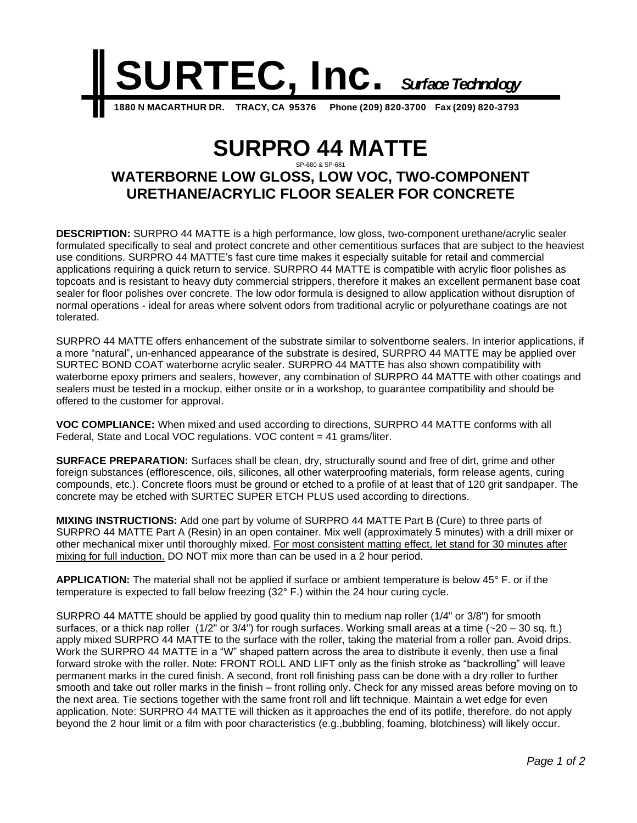

## **SURPRO 44 MATTE** SP-680 & SP-681 **WATERBORNE LOW GLOSS, LOW VOC, TWO-COMPONENT URETHANE/ACRYLIC FLOOR SEALER FOR CONCRETE**

**DESCRIPTION:** SURPRO 44 MATTE is a high performance, low gloss, two-component urethane/acrylic sealer formulated specifically to seal and protect concrete and other cementitious surfaces that are subject to the heaviest use conditions. SURPRO 44 MATTE's fast cure time makes it especially suitable for retail and commercial applications requiring a quick return to service. SURPRO 44 MATTE is compatible with acrylic floor polishes as topcoats and is resistant to heavy duty commercial strippers, therefore it makes an excellent permanent base coat sealer for floor polishes over concrete. The low odor formula is designed to allow application without disruption of normal operations - ideal for areas where solvent odors from traditional acrylic or polyurethane coatings are not tolerated.

SURPRO 44 MATTE offers enhancement of the substrate similar to solventborne sealers. In interior applications, if a more "natural", un-enhanced appearance of the substrate is desired, SURPRO 44 MATTE may be applied over SURTEC BOND COAT waterborne acrylic sealer. SURPRO 44 MATTE has also shown compatibility with waterborne epoxy primers and sealers, however, any combination of SURPRO 44 MATTE with other coatings and sealers must be tested in a mockup, either onsite or in a workshop, to guarantee compatibility and should be offered to the customer for approval.

**VOC COMPLIANCE:** When mixed and used according to directions, SURPRO 44 MATTE conforms with all Federal, State and Local VOC regulations. VOC content = 41 grams/liter.

**SURFACE PREPARATION:** Surfaces shall be clean, dry, structurally sound and free of dirt, grime and other foreign substances (efflorescence, oils, silicones, all other waterproofing materials, form release agents, curing compounds, etc.). Concrete floors must be ground or etched to a profile of at least that of 120 grit sandpaper. The concrete may be etched with SURTEC SUPER ETCH PLUS used according to directions.

**MIXING INSTRUCTIONS:** Add one part by volume of SURPRO 44 MATTE Part B (Cure) to three parts of SURPRO 44 MATTE Part A (Resin) in an open container. Mix well (approximately 5 minutes) with a drill mixer or other mechanical mixer until thoroughly mixed. For most consistent matting effect, let stand for 30 minutes after mixing for full induction. DO NOT mix more than can be used in a 2 hour period.

**APPLICATION:** The material shall not be applied if surface or ambient temperature is below 45° F. or if the temperature is expected to fall below freezing (32° F.) within the 24 hour curing cycle.

SURPRO 44 MATTE should be applied by good quality thin to medium nap roller (1/4" or 3/8") for smooth surfaces, or a thick nap roller  $(1/2)$ " or  $3/4$ ") for rough surfaces. Working small areas at a time  $(-20 - 30$  sq. ft.) apply mixed SURPRO 44 MATTE to the surface with the roller, taking the material from a roller pan. Avoid drips. Work the SURPRO 44 MATTE in a "W" shaped pattern across the area to distribute it evenly, then use a final forward stroke with the roller. Note: FRONT ROLL AND LIFT only as the finish stroke as "backrolling" will leave permanent marks in the cured finish. A second, front roll finishing pass can be done with a dry roller to further smooth and take out roller marks in the finish – front rolling only. Check for any missed areas before moving on to the next area. Tie sections together with the same front roll and lift technique. Maintain a wet edge for even application. Note: SURPRO 44 MATTE will thicken as it approaches the end of its potlife, therefore, do not apply beyond the 2 hour limit or a film with poor characteristics (e.g.,bubbling, foaming, blotchiness) will likely occur.